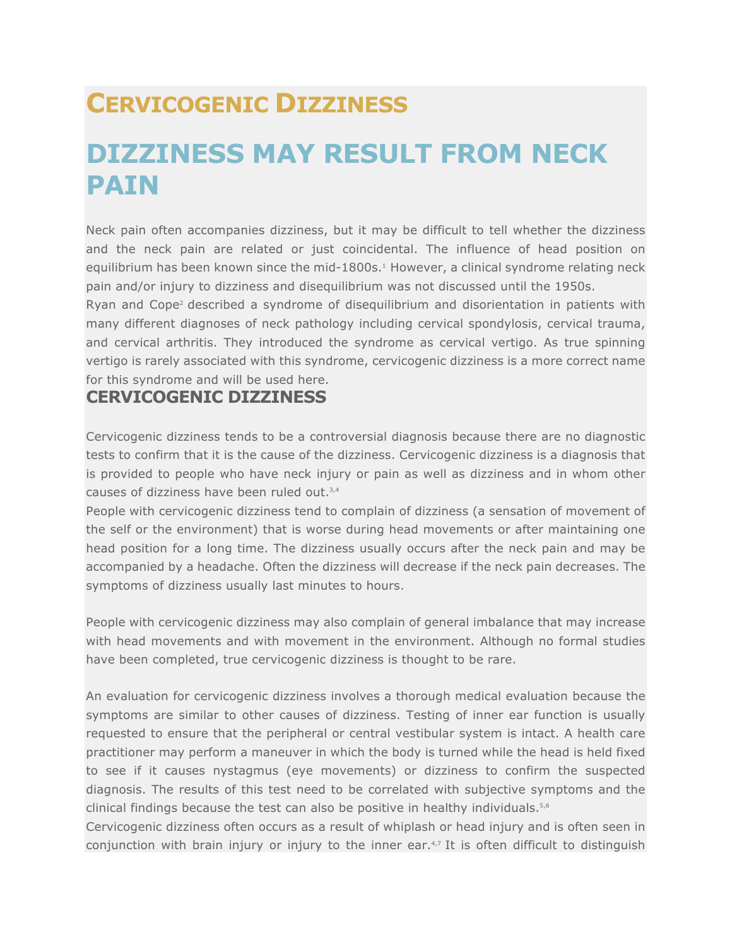## **CERVICOGENIC DIZZINESS**

## **DIZZINESS MAY RESULT FROM NECK PAIN**

Neck pain often accompanies dizziness, but it may be difficult to tell whether the dizziness and the neck pain are related or just coincidental. The influence of head position on equilibrium has been known since the mid-1800s.<sup>1</sup> However, a clinical syndrome relating neck pain and/or injury to dizziness and disequilibrium was not discussed until the 1950s.

Ryan and Cope2 described a syndrome of disequilibrium and disorientation in patients with many different diagnoses of neck pathology including cervical spondylosis, cervical trauma, and cervical arthritis. They introduced the syndrome as cervical vertigo. As true spinning vertigo is rarely associated with this syndrome, cervicogenic dizziness is a more correct name for this syndrome and will be used here.

## **CERVICOGENIC DIZZINESS**

Cervicogenic dizziness tends to be a controversial diagnosis because there are no diagnostic tests to confirm that it is the cause of the dizziness. Cervicogenic dizziness is a diagnosis that is provided to people who have neck injury or pain as well as dizziness and in whom other causes of dizziness have been ruled out.<sup>3,4</sup>

People with cervicogenic dizziness tend to complain of dizziness (a sensation of movement of the self or the environment) that is worse during head movements or after maintaining one head position for a long time. The dizziness usually occurs after the neck pain and may be accompanied by a headache. Often the dizziness will decrease if the neck pain decreases. The symptoms of dizziness usually last minutes to hours.

People with cervicogenic dizziness may also complain of general imbalance that may increase with head movements and with movement in the environment. Although no formal studies have been completed, true cervicogenic dizziness is thought to be rare.

An evaluation for cervicogenic dizziness involves a thorough medical evaluation because the symptoms are similar to other causes of dizziness. Testing of inner ear function is usually requested to ensure that the peripheral or central vestibular system is intact. A health care practitioner may perform a maneuver in which the body is turned while the head is held fixed to see if it causes nystagmus (eye movements) or dizziness to confirm the suspected diagnosis. The results of this test need to be correlated with subjective symptoms and the clinical findings because the test can also be positive in healthy individuals.<sup>5,6</sup>

Cervicogenic dizziness often occurs as a result of whiplash or head injury and is often seen in conjunction with brain injury or injury to the inner ear. $4.7$  It is often difficult to distinguish